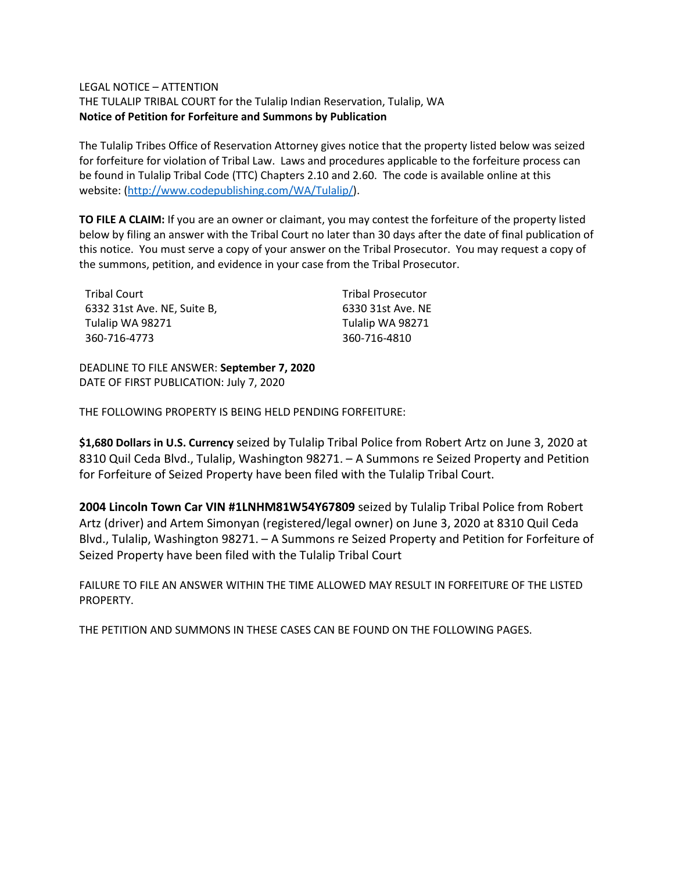## LEGAL NOTICE – ATTENTION

THE TULALIP TRIBAL COURT for the Tulalip Indian Reservation, Tulalip, WA **Notice of Petition for Forfeiture and Summons by Publication**

The Tulalip Tribes Office of Reservation Attorney gives notice that the property listed below was seized for forfeiture for violation of Tribal Law. Laws and procedures applicable to the forfeiture process can be found in Tulalip Tribal Code (TTC) Chapters 2.10 and 2.60. The code is available online at this website: [\(http://www.codepublishing.com/WA/Tulalip/\)](http://www.codepublishing.com/WA/Tulalip/).

**TO FILE A CLAIM:** If you are an owner or claimant, you may contest the forfeiture of the property listed below by filing an answer with the Tribal Court no later than 30 days after the date of final publication of this notice. You must serve a copy of your answer on the Tribal Prosecutor. You may request a copy of the summons, petition, and evidence in your case from the Tribal Prosecutor.

| <b>Tribal Court</b>         | <b>Tribal Prosecutor</b> |
|-----------------------------|--------------------------|
| 6332 31st Ave. NE, Suite B, | 6330 31st Ave. NE        |
| Tulalip WA 98271            | Tulalip WA 98271         |
| 360-716-4773                | 360-716-4810             |

DEADLINE TO FILE ANSWER: **September 7, 2020** DATE OF FIRST PUBLICATION: July 7, 2020

THE FOLLOWING PROPERTY IS BEING HELD PENDING FORFEITURE:

**\$1,680 Dollars in U.S. Currency** seized by Tulalip Tribal Police from Robert Artz on June 3, 2020 at 8310 Quil Ceda Blvd., Tulalip, Washington 98271. – A Summons re Seized Property and Petition for Forfeiture of Seized Property have been filed with the Tulalip Tribal Court.

**2004 Lincoln Town Car VIN #1LNHM81W54Y67809** seized by Tulalip Tribal Police from Robert Artz (driver) and Artem Simonyan (registered/legal owner) on June 3, 2020 at 8310 Quil Ceda Blvd., Tulalip, Washington 98271. – A Summons re Seized Property and Petition for Forfeiture of Seized Property have been filed with the Tulalip Tribal Court

FAILURE TO FILE AN ANSWER WITHIN THE TIME ALLOWED MAY RESULT IN FORFEITURE OF THE LISTED PROPERTY.

THE PETITION AND SUMMONS IN THESE CASES CAN BE FOUND ON THE FOLLOWING PAGES.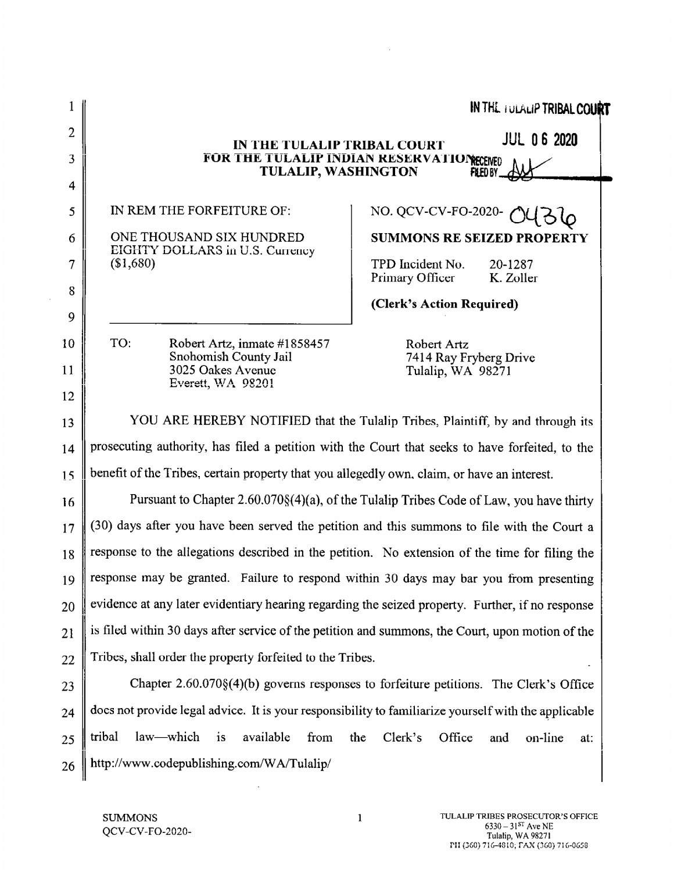|                |                                                                                                      | <b>IN THE TULALIP TRIBAL COURT</b>                          |  |
|----------------|------------------------------------------------------------------------------------------------------|-------------------------------------------------------------|--|
| $\overline{2}$ | <b>JUL 06 2020</b><br>IN THE TULALIP TRIBAL COURT                                                    |                                                             |  |
| 3              | FOR THE TULALIP INDIAN RESERVATIONECENED<br><b>TULALIP, WASHINGTON</b><br>FILED BY                   |                                                             |  |
| 4              |                                                                                                      |                                                             |  |
| 5              | IN REM THE FORFEITURE OF:                                                                            | NO. QCV-CV-FO-2020-                                         |  |
| 6              | ONE THOUSAND SIX HUNDRED<br>EIGHTY DOLLARS in U.S. Currency                                          | <b>SUMMONS RE SEIZED PROPERTY</b>                           |  |
| 7              | (\$1,680)                                                                                            | TPD Incident No.<br>20-1287<br>Primary Officer<br>K. Zoller |  |
| 8              |                                                                                                      | (Clerk's Action Required)                                   |  |
| 9              |                                                                                                      |                                                             |  |
| 10             | TO:<br>Robert Artz, inmate #1858457<br>Snohomish County Jail                                         | Robert Artz<br>7414 Ray Fryberg Drive                       |  |
| 11             | 3025 Oakes Avenue<br>Everett, WA 98201                                                               | Tulalip, WA 98271                                           |  |
| 12             |                                                                                                      |                                                             |  |
| 13             | YOU ARE HEREBY NOTIFIED that the Tulalip Tribes, Plaintiff, by and through its                       |                                                             |  |
| 14             | prosecuting authority, has filed a petition with the Court that seeks to have forfeited, to the      |                                                             |  |
| 15             | benefit of the Tribes, certain property that you allegedly own, claim, or have an interest.          |                                                             |  |
| 16             | Pursuant to Chapter 2.60.070§(4)(a), of the Tulalip Tribes Code of Law, you have thirty              |                                                             |  |
| 17             | (30) days after you have been served the petition and this summons to file with the Court a          |                                                             |  |
| 18             | response to the allegations described in the petition. No extension of the time for filing the       |                                                             |  |
| 19             | response may be granted. Failure to respond within 30 days may bar you from presenting               |                                                             |  |
| 20             | evidence at any later evidentiary hearing regarding the seized property. Further, if no response     |                                                             |  |
| 21             | is filed within 30 days after service of the petition and summons, the Court, upon motion of the     |                                                             |  |
| 22             | Tribes, shall order the property forfeited to the Tribes.                                            |                                                             |  |
| 23             | Chapter $2.60.070\$ (4)(b) governs responses to forfeiture petitions. The Clerk's Office             |                                                             |  |
| 24             | does not provide legal advice. It is your responsibility to familiarize yourself with the applicable |                                                             |  |
| 25             | tribal<br>law—which<br>$\mathbf{1}$<br>available<br>from<br>the                                      | Clerk's<br>Office<br>and<br>on-line<br>at:                  |  |
| 26             | http://www.codepublishing.com/WA/Tulalip/                                                            |                                                             |  |
|                |                                                                                                      |                                                             |  |

 $\hat{\boldsymbol{\theta}}$ 

 $\hat{\boldsymbol{\beta}}$ 

 $\sim 100$  km s  $^{-1}$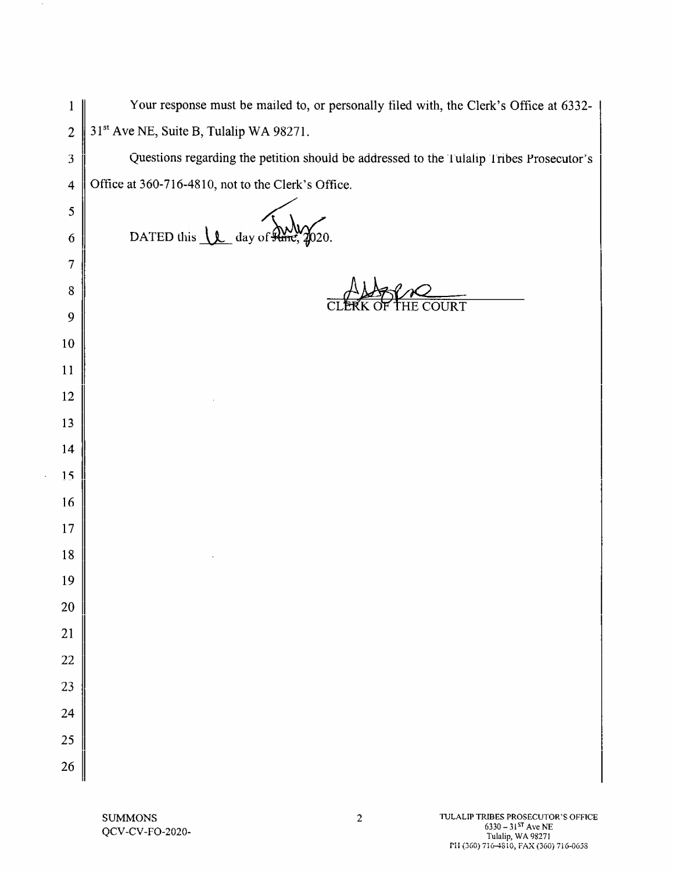| $\mathbf{1}$            | Your response must be mailed to, or personally filed with, the Clerk's Office at 6332-  |
|-------------------------|-----------------------------------------------------------------------------------------|
| $\overline{c}$          | 31 <sup>st</sup> Ave NE, Suite B, Tulalip WA 98271.                                     |
| 3                       | Questions regarding the petition should be addressed to the Tulalip Tribes Prosecutor's |
| $\overline{\mathbf{4}}$ | Office at 360-716-4810, not to the Clerk's Office.                                      |
| 5                       |                                                                                         |
| 6                       | DATED this $\mathcal{L}$ day of $\mathcal{L}$                                           |
| 7                       |                                                                                         |
| 8                       | <b>COURT</b>                                                                            |
| 9                       |                                                                                         |
| 10                      |                                                                                         |
| 11                      |                                                                                         |
| 12                      |                                                                                         |
| 13                      |                                                                                         |
| 14                      |                                                                                         |
| 15                      |                                                                                         |
| 16                      |                                                                                         |
| 17                      |                                                                                         |
| 18                      |                                                                                         |
| 19                      |                                                                                         |
| ${\bf 20}$              |                                                                                         |
| $\overline{21}$         |                                                                                         |
| $\overline{22}$         |                                                                                         |
| 23                      |                                                                                         |
| 24                      |                                                                                         |
| 25                      |                                                                                         |
| 26                      |                                                                                         |

 $\sim$ 

 $\bar{\beta}$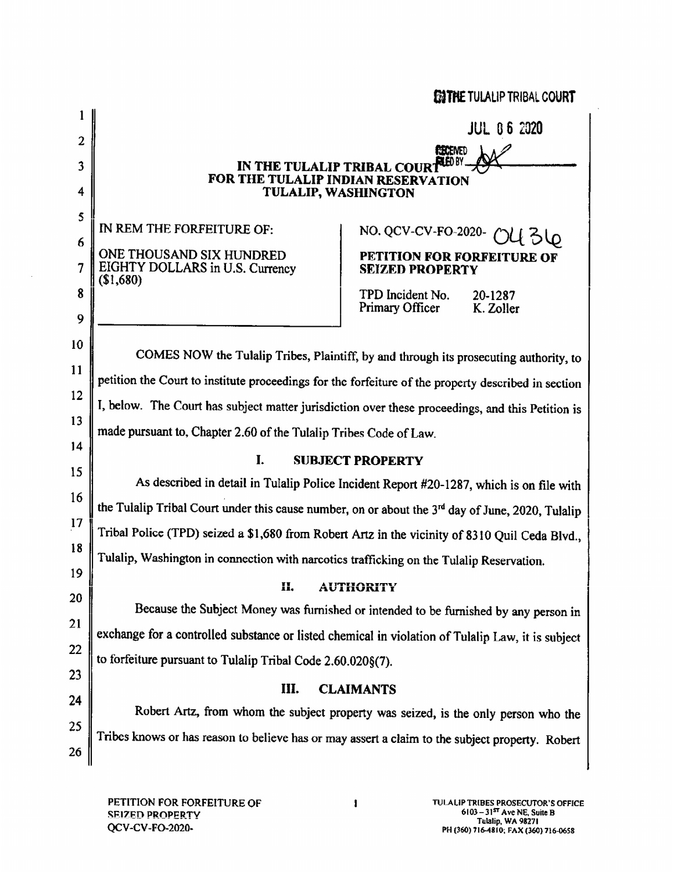|                |                                                                                                              | ENTHE TULALIP TRIBAL COURT                                                         |  |
|----------------|--------------------------------------------------------------------------------------------------------------|------------------------------------------------------------------------------------|--|
|                |                                                                                                              | <b>JUL 06 2020</b>                                                                 |  |
| $\overline{2}$ |                                                                                                              | <b>FECENED</b>                                                                     |  |
| 3              | 78 D.Y<br>IN THE TULALIP TRIBAL COURT<br>FOR THE TULALIP INDIAN RESERVATION                                  |                                                                                    |  |
| 4              | <b>TULALIP, WASHINGTON</b>                                                                                   |                                                                                    |  |
| 5              | IN REM THE FORFEITURE OF:                                                                                    | NO. QCV-CV-FO-2020-                                                                |  |
| 6              | ONE THOUSAND SIX HUNDRED                                                                                     | PETITION FOR FORFEITURE OF                                                         |  |
| 7              | EIGHTY DOLLARS in U.S. Currency<br>(\$1,680)                                                                 | <b>SEIZED PROPERTY</b>                                                             |  |
| 8              |                                                                                                              | TPD Incident No.<br>20-1287<br>Primary Officer<br>K. Zoller                        |  |
| 9              |                                                                                                              |                                                                                    |  |
| 10             | COMES NOW the Tulalip Tribes, Plaintiff, by and through its prosecuting authority, to                        |                                                                                    |  |
| 11             | petition the Court to institute proceedings for the forfeiture of the property described in section          |                                                                                    |  |
| 12             | I, below. The Court has subject matter jurisdiction over these proceedings, and this Petition is             |                                                                                    |  |
| 13             | made pursuant to, Chapter 2.60 of the Tulalip Tribes Code of Law.                                            |                                                                                    |  |
| 14             |                                                                                                              |                                                                                    |  |
| 15             | I.<br><b>SUBJECT PROPERTY</b>                                                                                |                                                                                    |  |
| 16             | As described in detail in Tulalip Police Incident Report #20-1287, which is on file with                     |                                                                                    |  |
| 17             | the Tulalip Tribal Court under this cause number, on or about the 3 <sup>rd</sup> day of June, 2020, Tulalip |                                                                                    |  |
| 18             | Tribal Police (TPD) seized a \$1,680 from Robert Artz in the vicinity of 8310 Quil Ceda Blvd.,               |                                                                                    |  |
| 19             | Tulalip, Washington in connection with narcotics trafficking on the Tulalip Reservation.                     |                                                                                    |  |
| 20             | П.                                                                                                           | <b>AUTHORITY</b>                                                                   |  |
| 21             | Because the Subject Money was furnished or intended to be furnished by any person in                         |                                                                                    |  |
| 22             | exchange for a controlled substance or listed chemical in violation of Tulalip Law, it is subject            |                                                                                    |  |
| 23             | to forfeiture pursuant to Tulalip Tribal Code 2.60.020§(7).                                                  |                                                                                    |  |
| 24             | III.                                                                                                         | <b>CLAIMANTS</b>                                                                   |  |
| 25             |                                                                                                              | Robert Artz, from whom the subject property was seized, is the only person who the |  |
| 26             | Tribes knows or has reason to believe has or may assert a claim to the subject property. Robert              |                                                                                    |  |
|                |                                                                                                              |                                                                                    |  |

PETITION FOR FORFEITURE OF **SEIZED PROPERTY** QCV-CV-FO-2020-

 $\sim$ 

 $\mathbf{1}$  and  $\mathbf{1}$